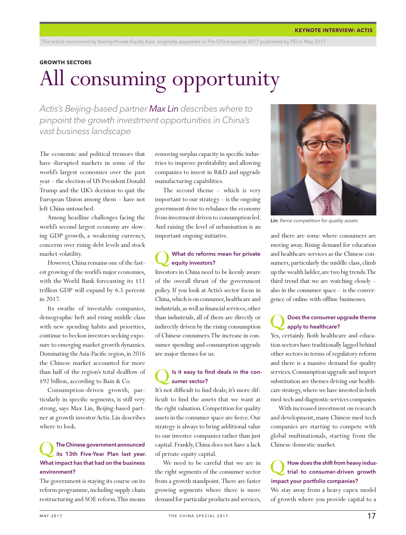#### **GROWTH SECTORS**

## All consuming opportunity

*Actis's Beijing-based partner Max Lin describes where to pinpoint the growth investment opportunities in China's vast business landscape*

The economic and political tremors that have disrupted markets in some of the world's largest economies over the past year – the election of US President Donald Trump and the UK's decision to quit the European Union among them – have not left China untouched.

Among headline challenges facing the world's second largest economy are slowing GDP growth, a weakening currency, concerns over rising debt levels and stock market volatility.

However, China remains one of the fastest growing of the world's major economies, with the World Bank forecasting its \$11 trillion GDP will expand by 6.5 percent in 2017.

Its swathe of investable companies, demographic heft and rising middle class with new spending habits and priorities, continue to beckon investors seeking exposure to emerging market growth dynamics. Dominating the Asia-Pacific region, in 2016 the Chinese market accounted for more than half of the region's total dealflow of \$92 billion, according to Bain & Co.

Consumption-driven growth, particularly in specific segments, is still very strong, says Max Lin, Beijing-based partner at growth investor Actis. Lin describes where to look.

#### The Chinese government announced its 13th Five-Year Plan last year. What impact has that had on the business environment?

The government is staying its course on its reform programme, including supply chain restructuring and SOE reform. This means

removing surplus capacity in specific industries to improve profitability and allowing companies to invest in R&D and upgrade manufacturing capabilities.

The second theme – which is very important to our strategy – is the ongoing government drive to rebalance the economy from investment driven to consumption led. And raising the level of urbanisation is an important ongoing initiative.

#### What do reforms mean for private equity investors?

Investors in China need to be keenly aware of the overall thrust of the government policy. If you look at Actis's sector focus in China, which is on consumer, healthcare and industrials, as well as financial services, other than industrials, all of them are directly or indirectly driven by the rising consumption of Chinese consumers. The increase in consumer spending and consumption upgrade are major themes for us.

#### Is it easy to find deals in the consumer sector?

It's not difficult to find deals; it's more difficult to find the assets that we want at the right valuation. Competition for quality assets in the consumer space are fierce. Our strategy is always to bring additional value to our investee companies rather than just capital. Frankly, China does not have a lack of private equity capital.

We need to be careful that we are in the right segments of the consumer sector from a growth standpoint. There are faster growing segments where there is more demand for particular products and services,



*Lin: fierce competition for quality assets*

and there are some where consumers are moving away. Rising demand for education and healthcare services as the Chinese consumers, particularly the middle class, climb up the wealth ladder, are two big trends. The third trend that we are watching closely – also in the consumer space – is the convergence of online with offline businesses.

#### Does the consumer upgrade theme apply to healthcare?

Yes, certainly. Both healthcare and education sectors have traditionally lagged behind other sectors in terms of regulatory reform and there is a massive demand for quality services. Consumption upgrade and import substitution are themes driving our healthcare strategy, where we have invested in both med-tech and diagnostic services companies.

With increased investment on research and development, many Chinese med-tech companies are starting to compete with global multinationals, starting from the Chinese domestic market.

#### How does the shift from heavy industrial to consumer-driven growth impact your portfolio companies?

We stay away from a heavy capex model of growth where you provide capital to a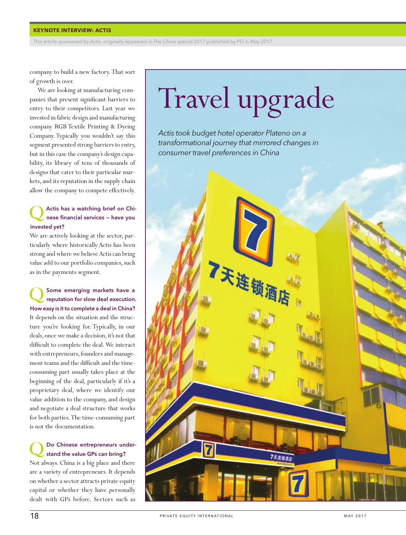#### **KEYNOTE INTERVIEW: ACTIS**

This article sponsored by Actis originally appeared in The China special 2017 published by PEI in May 2017

company to build a new factory. That sort of growth is over.

We are looking at manufacturing companies that present significant barriers to entry to their competitors. Last year we invested in fabric design and manufacturing company RGB Textile Printing & Dyeing Company. Typically you wouldn't say this segment presented strong barriers to entry, but in this case the company's design capability, its library of tens of thousands of designs that cater to their particular markets, and its reputation in the supply chain allow the company to compete effectively.

#### Actis has a watching brief on Chinese financial services — have you invested yet?

We are actively looking at the sector, particularly where historically Actis has been strong and where we believe Actis can bring value add to our portfolio companies, such as in the payments segment.

Some emerging markets have a reputation for slow deal execution. How easy is it to complete a deal in China? It depends on the situation and the structure you're looking for. Typically, in our deals, once we make a decision, it's not that difficult to complete the deal. We interact with entrepreneurs, founders and management teams and the difficult and the timeconsuming part usually takes place at the beginning of the deal, particularly if it's a proprietary deal, where we identify our value addition to the company, and design and negotiate a deal structure that works for both parties. The time-consuming part is not the documentation.

#### Do Chinese entrepreneurs understand the value GPs can bring?

Not always. China is a big place and there are a variety of entrepreneurs. It depends on whether a sector attracts private equity capital or whether they have personally dealt with GPs before. Sectors such as

# Travel upgrade

*Actis took budget hotel operator Plateno on a transformational journey that mirrored changes in consumer travel preferences in China*